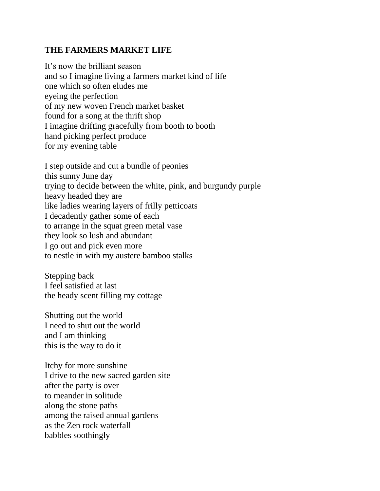## **THE FARMERS MARKET LIFE**

It's now the brilliant season and so I imagine living a farmers market kind of life one which so often eludes me eyeing the perfection of my new woven French market basket found for a song at the thrift shop I imagine drifting gracefully from booth to booth hand picking perfect produce for my evening table

I step outside and cut a bundle of peonies this sunny June day trying to decide between the white, pink, and burgundy purple heavy headed they are like ladies wearing layers of frilly petticoats I decadently gather some of each to arrange in the squat green metal vase they look so lush and abundant I go out and pick even more to nestle in with my austere bamboo stalks

Stepping back I feel satisfied at last the heady scent filling my cottage

Shutting out the world I need to shut out the world and I am thinking this is the way to do it

Itchy for more sunshine I drive to the new sacred garden site after the party is over to meander in solitude along the stone paths among the raised annual gardens as the Zen rock waterfall babbles soothingly